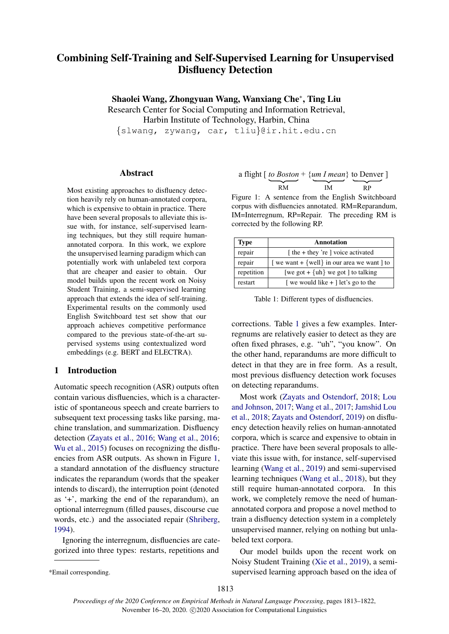# Combining Self-Training and Self-Supervised Learning for Unsupervised Disfluency Detection

Shaolei Wang, Zhongyuan Wang, Wanxiang Che<sup>∗</sup> , Ting Liu

Research Center for Social Computing and Information Retrieval,

Harbin Institute of Technology, Harbin, China

{slwang, zywang, car, tliu}@ir.hit.edu.cn

### Abstract

Most existing approaches to disfluency detection heavily rely on human-annotated corpora, which is expensive to obtain in practice. There have been several proposals to alleviate this issue with, for instance, self-supervised learning techniques, but they still require humanannotated corpora. In this work, we explore the unsupervised learning paradigm which can potentially work with unlabeled text corpora that are cheaper and easier to obtain. Our model builds upon the recent work on Noisy Student Training, a semi-supervised learning approach that extends the idea of self-training. Experimental results on the commonly used English Switchboard test set show that our approach achieves competitive performance compared to the previous state-of-the-art supervised systems using contextualized word embeddings (e.g. BERT and ELECTRA).

# 1 Introduction

Automatic speech recognition (ASR) outputs often contain various disfluencies, which is a characteristic of spontaneous speech and create barriers to subsequent text processing tasks like parsing, machine translation, and summarization. Disfluency detection [\(Zayats et al.,](#page-9-0) [2016;](#page-9-0) [Wang et al.,](#page-9-1) [2016;](#page-9-1) [Wu et al.,](#page-9-2) [2015\)](#page-9-2) focuses on recognizing the disfluencies from ASR outputs. As shown in Figure [1,](#page-0-0) a standard annotation of the disfluency structure indicates the reparandum (words that the speaker intends to discard), the interruption point (denoted as '+', marking the end of the reparandum), an optional interregnum (filled pauses, discourse cue words, etc.) and the associated repair [\(Shriberg,](#page-9-3) [1994\)](#page-9-3).

Ignoring the interregnum, disfluencies are categorized into three types: restarts, repetitions and

Figure 1: A sentence from the English Switchboard corpus with disfluencies annotated. RM=Reparandum, IM=Interregnum, RP=Repair. The preceding RM is corrected by the following RP.

<span id="page-0-1"></span>

| <b>Type</b> | Annotation                                |  |  |
|-------------|-------------------------------------------|--|--|
| repair      | [the + they 're ] voice activated         |  |  |
| repair      | we want + {well} in our area we want   to |  |  |
| repetition  | [we got + $\{uh\}$ we got ] to talking    |  |  |
| restart     | we would like $+$ let's go to the         |  |  |

Table 1: Different types of disfluencies.

corrections. Table [1](#page-0-1) gives a few examples. Interregnums are relatively easier to detect as they are often fixed phrases, e.g. "uh", "you know". On the other hand, reparandums are more difficult to detect in that they are in free form. As a result, most previous disfluency detection work focuses on detecting reparandums.

Most work [\(Zayats and Ostendorf,](#page-9-4) [2018;](#page-9-4) [Lou](#page-8-0) [and Johnson,](#page-8-0) [2017;](#page-8-0) [Wang et al.,](#page-9-5) [2017;](#page-9-5) [Jamshid Lou](#page-8-1) [et al.,](#page-8-1) [2018;](#page-8-1) [Zayats and Ostendorf,](#page-9-6) [2019\)](#page-9-6) on disfluency detection heavily relies on human-annotated corpora, which is scarce and expensive to obtain in practice. There have been several proposals to alleviate this issue with, for instance, self-supervised learning [\(Wang et al.,](#page-9-7) [2019\)](#page-9-7) and semi-supervised learning techniques [\(Wang et al.,](#page-9-8) [2018\)](#page-9-8), but they still require human-annotated corpora. In this work, we completely remove the need of humanannotated corpora and propose a novel method to train a disfluency detection system in a completely unsupervised manner, relying on nothing but unlabeled text corpora.

Our model builds upon the recent work on Noisy Student Training [\(Xie et al.,](#page-9-9) [2019\)](#page-9-9), a semisupervised learning approach based on the idea of

<span id="page-0-0"></span>a flight [ *to Boston* + {*um I mean*} to Denver ] RM IM RP

<sup>\*</sup>Email corresponding.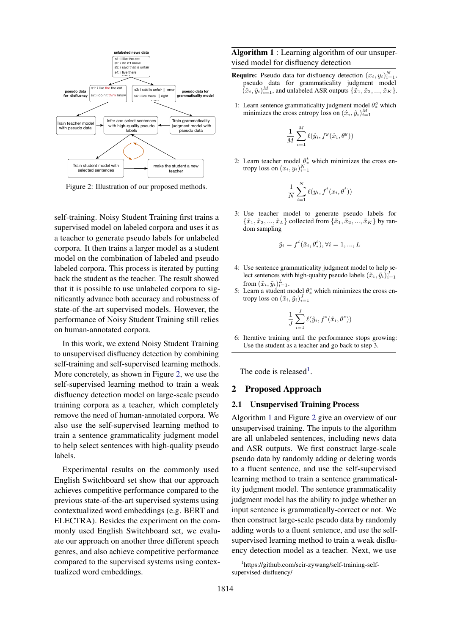<span id="page-1-0"></span>

Figure 2: Illustration of our proposed methods.

self-training. Noisy Student Training first trains a supervised model on labeled corpora and uses it as a teacher to generate pseudo labels for unlabeled corpora. It then trains a larger model as a student model on the combination of labeled and pseudo labeled corpora. This process is iterated by putting back the student as the teacher. The result showed that it is possible to use unlabeled corpora to significantly advance both accuracy and robustness of state-of-the-art supervised models. However, the performance of Noisy Student Training still relies on human-annotated corpora.

In this work, we extend Noisy Student Training to unsupervised disfluency detection by combining self-training and self-supervised learning methods. More concretely, as shown in Figure [2,](#page-1-0) we use the self-supervised learning method to train a weak disfluency detection model on large-scale pseudo training corpora as a teacher, which completely remove the need of human-annotated corpora. We also use the self-supervised learning method to train a sentence grammaticality judgment model to help select sentences with high-quality pseudo labels.

Experimental results on the commonly used English Switchboard set show that our approach achieves competitive performance compared to the previous state-of-the-art supervised systems using contextualized word embeddings (e.g. BERT and ELECTRA). Besides the experiment on the commonly used English Switchboard set, we evaluate our approach on another three different speech genres, and also achieve competitive performance compared to the supervised systems using contextualized word embeddings.

<span id="page-1-2"></span>Algorithm 1 : Learning algorithm of our unsupervised model for disfluency detection

- **Require:** Pseudo data for disfluency detection  $(x_i, y_i)_{i=1}^N$ , pseudo data for grammaticality judgment model  $(\hat{x}_i, \hat{y}_i)_{i=1}^M$ , and unlabeled ASR outputs  $\{\tilde{x}_1, \tilde{x}_2, ..., \tilde{x}_K\}$ .
- 1: Learn sentence grammaticality judgment model  $\theta_*^g$  which minimizes the cross entropy loss on  $(\hat{x}_i, \hat{y}_i)_{i=1}^M$

$$
\frac{1}{M}\sum_{i=1}^M \ell(\hat{y}_i,f^g(\hat{x}_i,\theta^g))
$$

2: Learn teacher model  $\theta^t_*$  which minimizes the cross entropy loss on  $(x_i, y_i)_{i=1}^N$ 

$$
\frac{1}{N} \sum_{i=1}^{N} \ell(y_i, f^t(x_i, \theta^t))
$$

3: Use teacher model to generate pseudo labels for  $\{\tilde{x}_1, \tilde{x}_2, ..., \tilde{x}_L\}$  collected from  $\{\tilde{x}_1, \tilde{x}_2, ..., \tilde{x}_K\}$  by random sampling

$$
\tilde{y}_i = f^t(\tilde{x}_i, \theta_*^t), \forall i = 1, ..., L
$$

- 4: Use sentence grammaticality judgment model to help select sentences with high-quality pseudo labels  $(\tilde{x}_i, \tilde{y}_i)_{i=1}^J$ from  $(\tilde{x}_i, \tilde{y}_i)_{i=1}^L$ .
- 5: Learn a student model  $\theta_*^s$  which minimizes the cross entropy loss on  $(\tilde{x}_i, \tilde{y}_i)_{i=1}^J$

$$
\frac{1}{J}\sum_{i=1}^J \ell(\tilde{y}_i, f^s(\tilde{x}_i, \theta^s))
$$

6: Iterative training until the performance stops growing: Use the student as a teacher and go back to step 3.

The code is released<sup>[1](#page-1-1)</sup>.

#### 2 Proposed Approach

#### 2.1 Unsupervised Training Process

Algorithm [1](#page-1-2) and Figure [2](#page-1-0) give an overview of our unsupervised training. The inputs to the algorithm are all unlabeled sentences, including news data and ASR outputs. We first construct large-scale pseudo data by randomly adding or deleting words to a fluent sentence, and use the self-supervised learning method to train a sentence grammaticality judgment model. The sentence grammaticality judgment model has the ability to judge whether an input sentence is grammatically-correct or not. We then construct large-scale pseudo data by randomly adding words to a fluent sentence, and use the selfsupervised learning method to train a weak disfluency detection model as a teacher. Next, we use

<span id="page-1-1"></span><sup>1</sup> https://github.com/scir-zywang/self-training-selfsupervised-disfluency/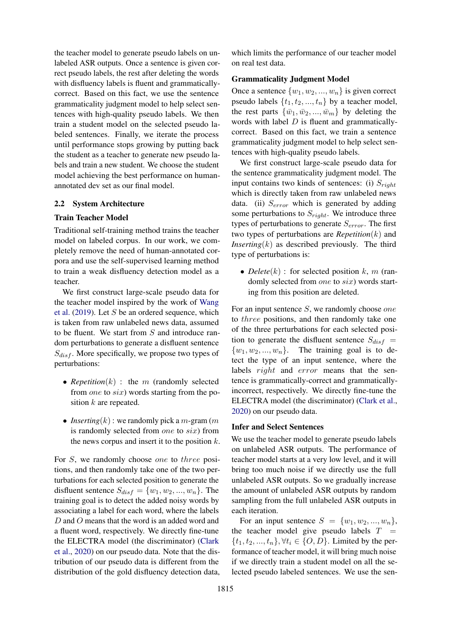the teacher model to generate pseudo labels on unlabeled ASR outputs. Once a sentence is given correct pseudo labels, the rest after deleting the words with disfluency labels is fluent and grammaticallycorrect. Based on this fact, we use the sentence grammaticality judgment model to help select sentences with high-quality pseudo labels. We then train a student model on the selected pseudo labeled sentences. Finally, we iterate the process until performance stops growing by putting back the student as a teacher to generate new pseudo labels and train a new student. We choose the student model achieving the best performance on humanannotated dev set as our final model.

#### 2.2 System Architecture

### Train Teacher Model

Traditional self-training method trains the teacher model on labeled corpus. In our work, we completely remove the need of human-annotated corpora and use the self-supervised learning method to train a weak disfluency detection model as a teacher.

We first construct large-scale pseudo data for the teacher model inspired by the work of [Wang](#page-9-7) [et al.](#page-9-7)  $(2019)$ . Let S be an ordered sequence, which is taken from raw unlabeled news data, assumed to be fluent. We start from  $S$  and introduce random perturbations to generate a disfluent sentence  $S_{disf}$ . More specifically, we propose two types of perturbations:

- *Repetition* $(k)$ : the *m* (randomly selected from *one* to *six*) words starting from the position k are repeated.
- *Inserting* $(k)$ : we randomly pick a *m*-gram  $(m)$ is randomly selected from one to six) from the news corpus and insert it to the position  $k$ .

For S, we randomly choose *one* to *three* positions, and then randomly take one of the two perturbations for each selected position to generate the disfluent sentence  $S_{dist} = \{w_1, w_2, ..., w_n\}$ . The training goal is to detect the added noisy words by associating a label for each word, where the labels D and O means that the word is an added word and a fluent word, respectively. We directly fine-tune the ELECTRA model (the discriminator) [\(Clark](#page-8-2) [et al.,](#page-8-2) [2020\)](#page-8-2) on our pseudo data. Note that the distribution of our pseudo data is different from the distribution of the gold disfluency detection data, which limits the performance of our teacher model on real test data.

### Grammaticality Judgment Model

Once a sentence  $\{w_1, w_2, ..., w_n\}$  is given correct pseudo labels  $\{t_1, t_2, ..., t_n\}$  by a teacher model, the rest parts  $\{\bar{w}_1, \bar{w}_2, ..., \bar{w}_m\}$  by deleting the words with label  $D$  is fluent and grammaticallycorrect. Based on this fact, we train a sentence grammaticality judgment model to help select sentences with high-quality pseudo labels.

We first construct large-scale pseudo data for the sentence grammaticality judgment model. The input contains two kinds of sentences: (i)  $S_{riab}$ which is directly taken from raw unlabeled news data. (ii)  $S_{error}$  which is generated by adding some perturbations to  $S_{right}$ . We introduce three types of perturbations to generate  $S_{error}$ . The first two types of perturbations are *Repetition*(k) and *Inserting* $(k)$  as described previously. The third type of perturbations is:

• *Delete* $(k)$ : for selected position  $k$ , m (randomly selected from *one* to *six*) words starting from this position are deleted.

For an input sentence S, we randomly choose one to three positions, and then randomly take one of the three perturbations for each selected position to generate the disfluent sentence  $S_{disf}$  =  $\{w_1, w_2, ..., w_n\}$ . The training goal is to detect the type of an input sentence, where the labels *right* and *error* means that the sentence is grammatically-correct and grammaticallyincorrect, respectively. We directly fine-tune the ELECTRA model (the discriminator) [\(Clark et al.,](#page-8-2) [2020\)](#page-8-2) on our pseudo data.

### Infer and Select Sentences

We use the teacher model to generate pseudo labels on unlabeled ASR outputs. The performance of teacher model starts at a very low level, and it will bring too much noise if we directly use the full unlabeled ASR outputs. So we gradually increase the amount of unlabeled ASR outputs by random sampling from the full unlabeled ASR outputs in each iteration.

For an input sentence  $S = \{w_1, w_2, ..., w_n\},\$ the teacher model give pseudo labels  $T =$  $\{t_1, t_2, ..., t_n\}, \forall t_i \in \{O, D\}.$  Limited by the performance of teacher model, it will bring much noise if we directly train a student model on all the selected pseudo labeled sentences. We use the sen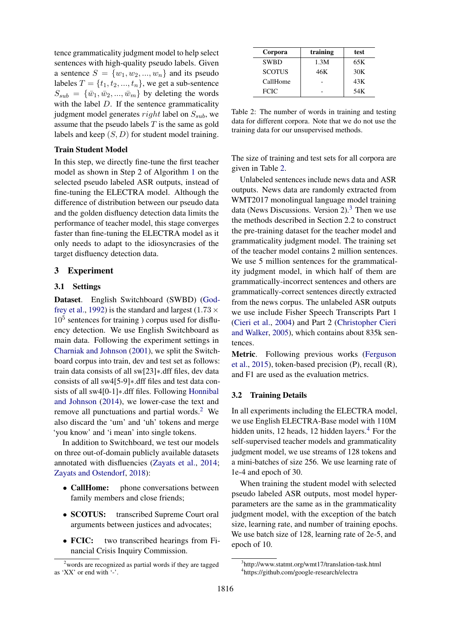tence grammaticality judgment model to help select sentences with high-quality pseudo labels. Given a sentence  $S = \{w_1, w_2, ..., w_n\}$  and its pseudo labeles  $T = \{t_1, t_2, ..., t_n\}$ , we get a sub-sentence  $S_{sub} = {\overline{w_1, w_2, ..., w_m}}$  by deleting the words with the label  $D$ . If the sentence grammaticality judgment model generates  $right$  label on  $S_{sub}$ , we assume that the pseudo labels  $T$  is the same as gold labels and keep  $(S, D)$  for student model training.

#### Train Student Model

In this step, we directly fine-tune the first teacher model as shown in Step 2 of Algorithm [1](#page-1-2) on the selected pseudo labeled ASR outputs, instead of fine-tuning the ELECTRA model. Although the difference of distribution between our pseudo data and the golden disfluency detection data limits the performance of teacher model, this stage converges faster than fine-tuning the ELECTRA model as it only needs to adapt to the idiosyncrasies of the target disfluency detection data.

### 3 Experiment

#### 3.1 Settings

Dataset. English Switchboard (SWBD) [\(God](#page-8-3)[frey et al.,](#page-8-3) [1992\)](#page-8-3) is the standard and largest (1.73  $\times$ 10<sup>5</sup> sentences for training ) corpus used for disfluency detection. We use English Switchboard as main data. Following the experiment settings in [Charniak and Johnson](#page-8-4) [\(2001\)](#page-8-4), we split the Switchboard corpus into train, dev and test set as follows: train data consists of all sw[23]∗.dff files, dev data consists of all sw4[5-9]∗.dff files and test data consists of all sw4[0-1]∗.dff files. Following [Honnibal](#page-8-5) [and Johnson](#page-8-5) [\(2014\)](#page-8-5), we lower-case the text and remove all punctuations and partial words.<sup>[2](#page-3-0)</sup> We also discard the 'um' and 'uh' tokens and merge 'you know' and 'i mean' into single tokens.

In addition to Switchboard, we test our models on three out-of-domain publicly available datasets annotated with disfluencies [\(Zayats et al.,](#page-9-10) [2014;](#page-9-10) [Zayats and Ostendorf,](#page-9-4) [2018\)](#page-9-4):

- CallHome: phone conversations between family members and close friends;
- SCOTUS: transcribed Supreme Court oral arguments between justices and advocates;
- **FCIC:** two transcribed hearings from Financial Crisis Inquiry Commission.

<span id="page-3-1"></span>

| Corpora       | training | test |
|---------------|----------|------|
| <b>SWBD</b>   | 1.3M     | 65K  |
| <b>SCOTUS</b> | 46K      | 30K  |
| CallHome      |          | 43K  |
| <b>FCIC</b>   |          | 54K  |

Table 2: The number of words in training and testing data for different corpora. Note that we do not use the training data for our unsupervised methods.

The size of training and test sets for all corpora are given in Table [2.](#page-3-1)

Unlabeled sentences include news data and ASR outputs. News data are randomly extracted from WMT2017 monolingual language model training data (News Discussions. Version  $2$ ).<sup>[3](#page-3-2)</sup> Then we use the methods described in Section 2.2 to construct the pre-training dataset for the teacher model and grammaticality judgment model. The training set of the teacher model contains 2 million sentences. We use 5 million sentences for the grammaticality judgment model, in which half of them are grammatically-incorrect sentences and others are grammatically-correct sentences directly extracted from the news corpus. The unlabeled ASR outputs we use include Fisher Speech Transcripts Part 1 [\(Cieri et al.,](#page-8-6) [2004\)](#page-8-6) and Part 2 [\(Christopher Cieri](#page-8-7) [and Walker,](#page-8-7) [2005\)](#page-8-7), which contains about 835k sentences.

Metric. Following previous works [\(Ferguson](#page-8-8) [et al.,](#page-8-8) [2015\)](#page-8-8), token-based precision (P), recall (R), and F1 are used as the evaluation metrics.

#### 3.2 Training Details

In all experiments including the ELECTRA model, we use English ELECTRA-Base model with 110M hidden units, 12 heads, 12 hidden layers. $4$  For the self-supervised teacher models and grammaticality judgment model, we use streams of 128 tokens and a mini-batches of size 256. We use learning rate of 1e-4 and epoch of 30.

When training the student model with selected pseudo labeled ASR outputs, most model hyperparameters are the same as in the grammaticality judgment model, with the exception of the batch size, learning rate, and number of training epochs. We use batch size of 128, learning rate of 2e-5, and epoch of 10.

<span id="page-3-0"></span> $2$  words are recognized as partial words if they are tagged as 'XX' or end with '-'.

<span id="page-3-3"></span><span id="page-3-2"></span><sup>3</sup> http://www.statmt.org/wmt17/translation-task.html 4 https://github.com/google-research/electra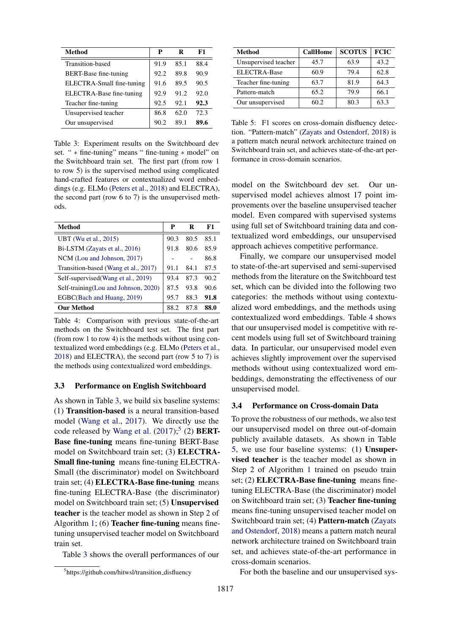<span id="page-4-0"></span>

| Method                       | P    | R    | F1   |
|------------------------------|------|------|------|
| Transition-based             | 91.9 | 85.1 | 88.4 |
| <b>BERT-Base fine-tuning</b> | 92.2 | 89.8 | 90.9 |
| ELECTRA-Small fine-tuning    | 91.6 | 89.5 | 90.5 |
| ELECTRA-Base fine-tuning     | 92.9 | 91.2 | 92.0 |
| Teacher fine-tuning          | 92.5 | 92.1 | 92.3 |
| Unsupervised teacher         | 86.8 | 62.0 | 72.3 |
| Our unsupervised             | 90.2 | 89.1 | 89.6 |

Table 3: Experiment results on the Switchboard dev set. " ∗ fine-tuning" means " fine-tuning ∗ model" on the Switchboard train set. The first part (from row 1 to row 5) is the supervised method using complicated hand-crafted features or contextualized word embeddings (e.g. ELMo [\(Peters et al.,](#page-9-11) [2018\)](#page-9-11) and ELECTRA), the second part (row 6 to 7) is the unsupervised methods.

<span id="page-4-2"></span>

| Method                                | P    | R    | F1   |
|---------------------------------------|------|------|------|
| UBT (Wu et al., 2015)                 | 90.3 | 80.5 | 85.1 |
| Bi-LSTM (Zayats et al., 2016)         | 91.8 | 80.6 | 85.9 |
| NCM (Lou and Johnson, 2017)           |      |      | 86.8 |
| Transition-based (Wang et al., 2017)  | 91.1 | 84.1 | 87.5 |
| Self-supervised (Wang et al., 2019)   | 93.4 | 87.3 | 90.2 |
| Self-training (Lou and Johnson, 2020) | 87.5 | 93.8 | 90.6 |
| EGBC(Bach and Huang, 2019)            | 95.7 | 88.3 | 91.8 |
| <b>Our Method</b>                     | 88.2 | 87.8 | 88.0 |

Table 4: Comparison with previous state-of-the-art methods on the Switchboard test set. The first part (from row 1 to row 4) is the methods without using contextualized word embeddings (e.g. ELMo [\(Peters et al.,](#page-9-11) [2018\)](#page-9-11) and ELECTRA), the second part (row 5 to 7) is the methods using contextualized word embeddings.

#### 3.3 Performance on English Switchboard

As shown in Table [3,](#page-4-0) we build six baseline systems: (1) Transition-based is a neural transition-based model [\(Wang et al.,](#page-9-5) [2017\)](#page-9-5). We directly use the code released by [Wang et al.](#page-9-5)  $(2017);$  $(2017);$ <sup>[5](#page-4-1)</sup> (2) **BERT-**Base fine-tuning means fine-tuning BERT-Base model on Switchboard train set; (3) ELECTRA-Small fine-tuning means fine-tuning ELECTRA-Small (the discriminator) model on Switchboard train set; (4) ELECTRA-Base fine-tuning means fine-tuning ELECTRA-Base (the discriminator) model on Switchboard train set; (5) Unsupervised teacher is the teacher model as shown in Step 2 of Algorithm [1;](#page-1-2) (6) Teacher fine-tuning means finetuning unsupervised teacher model on Switchboard train set.

Table [3](#page-4-0) shows the overall performances of our

<span id="page-4-3"></span>

| Method               | <b>CallHome</b> | <b>SCOTUS</b> | <b>FCIC</b> |
|----------------------|-----------------|---------------|-------------|
| Unsupervised teacher | 45.7            | 63.9          | 43.2        |
| <b>ELECTRA-Base</b>  | 60.9            | 79.4          | 62.8        |
| Teacher fine-tuning  | 63.7            | 81.9          | 64.3        |
| Pattern-match        | 65.2            | 79.9          | 66.1        |
| Our unsupervised     | 60.2            | 80.3          | 63.3        |

Table 5: F1 scores on cross-domain disfluency detection. "Pattern-match" [\(Zayats and Ostendorf,](#page-9-4) [2018\)](#page-9-4) is a pattern match neural network architecture trained on Switchboard train set, and achieves state-of-the-art performance in cross-domain scenarios.

model on the Switchboard dev set. Our unsupervised model achieves almost 17 point improvements over the baseline unsupervised teacher model. Even compared with supervised systems using full set of Switchboard training data and contextualized word embeddings, our unsupervised approach achieves competitive performance.

Finally, we compare our unsupervised model to state-of-the-art supervised and semi-supervised methods from the literature on the Switchboard test set, which can be divided into the following two categories: the methods without using contextualized word embeddings, and the methods using contextualized word embeddings. Table [4](#page-4-2) shows that our unsupervised model is competitive with recent models using full set of Switchboard training data. In particular, our unsupervised model even achieves slightly improvement over the supervised methods without using contextualized word embeddings, demonstrating the effectiveness of our unsupervised model.

#### 3.4 Performance on Cross-domain Data

To prove the robustness of our methods, we also test our unsupervised model on three out-of-domain publicly available datasets. As shown in Table [5,](#page-4-3) we use four baseline systems: (1) Unsupervised teacher is the teacher model as shown in Step 2 of Algorithm [1](#page-1-2) trained on pseudo train set; (2) **ELECTRA-Base fine-tuning** means finetuning ELECTRA-Base (the discriminator) model on Switchboard train set; (3) Teacher fine-tuning means fine-tuning unsupervised teacher model on Switchboard train set; (4) Pattern-match [\(Zayats](#page-9-4) [and Ostendorf,](#page-9-4) [2018\)](#page-9-4) means a pattern match neural network architecture trained on Switchboard train set, and achieves state-of-the-art performance in cross-domain scenarios.

For both the baseline and our unsupervised sys-

<span id="page-4-1"></span><sup>&</sup>lt;sup>5</sup>https://github.com/hitwsl/transition\_disfluency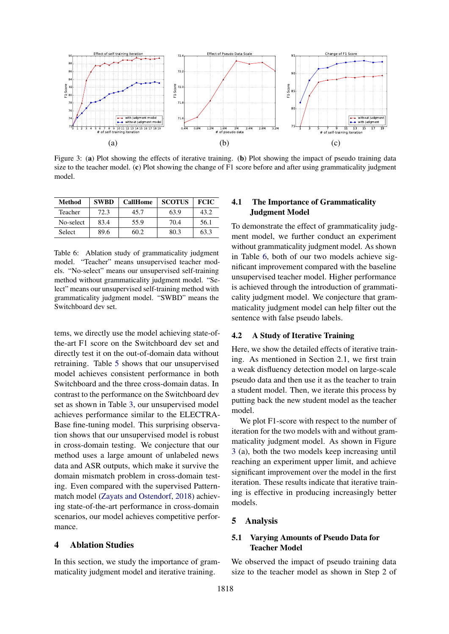<span id="page-5-1"></span>

Figure 3: (a) Plot showing the effects of iterative training. (b) Plot showing the impact of pseudo training data size to the teacher model. (c) Plot showing the change of F1 score before and after using grammaticality judgment model.

<span id="page-5-0"></span>

| Method    | <b>SWBD</b> | <b>CallHome</b> | <b>SCOTUS</b> | <b>FCIC</b> |
|-----------|-------------|-----------------|---------------|-------------|
| Teacher   | 72.3        | 45.7            | 63.9          | 43.2        |
| No-select | 83.4        | 55.9            | 70.4          | 56.1        |
| Select    | 89.6        | 60.2            | 80.3          | 63.3        |

Table 6: Ablation study of grammaticality judgment model. "Teacher" means unsupervised teacher models. "No-select" means our unsupervised self-training method without grammaticality judgment model. "Select" means our unsupervised self-training method with grammaticality judgment model. "SWBD" means the Switchboard dev set.

tems, we directly use the model achieving state-ofthe-art F1 score on the Switchboard dev set and directly test it on the out-of-domain data without retraining. Table [5](#page-4-3) shows that our unsupervised model achieves consistent performance in both Switchboard and the three cross-domain datas. In contrast to the performance on the Switchboard dev set as shown in Table [3,](#page-4-0) our unsupervised model achieves performance similar to the ELECTRA-Base fine-tuning model. This surprising observation shows that our unsupervised model is robust in cross-domain testing. We conjecture that our method uses a large amount of unlabeled news data and ASR outputs, which make it survive the domain mismatch problem in cross-domain testing. Even compared with the supervised Patternmatch model [\(Zayats and Ostendorf,](#page-9-4) [2018\)](#page-9-4) achieving state-of-the-art performance in cross-domain scenarios, our model achieves competitive performance.

#### 4 Ablation Studies

In this section, we study the importance of grammaticality judgment model and iterative training.

# 4.1 The Importance of Grammaticality Judgment Model

To demonstrate the effect of grammaticality judgment model, we further conduct an experiment without grammaticality judgment model. As shown in Table [6,](#page-5-0) both of our two models achieve significant improvement compared with the baseline unsupervised teacher model. Higher performance is achieved through the introduction of grammaticality judgment model. We conjecture that grammaticality judgment model can help filter out the sentence with false pseudo labels.

## 4.2 A Study of Iterative Training

Here, we show the detailed effects of iterative training. As mentioned in Section 2.1, we first train a weak disfluency detection model on large-scale pseudo data and then use it as the teacher to train a student model. Then, we iterate this process by putting back the new student model as the teacher model.

We plot F1-score with respect to the number of iteration for the two models with and without grammaticality judgment model. As shown in Figure [3](#page-5-1) (a), both the two models keep increasing until reaching an experiment upper limit, and achieve significant improvement over the model in the first iteration. These results indicate that iterative training is effective in producing increasingly better models.

#### 5 Analysis

# 5.1 Varying Amounts of Pseudo Data for Teacher Model

We observed the impact of pseudo training data size to the teacher model as shown in Step 2 of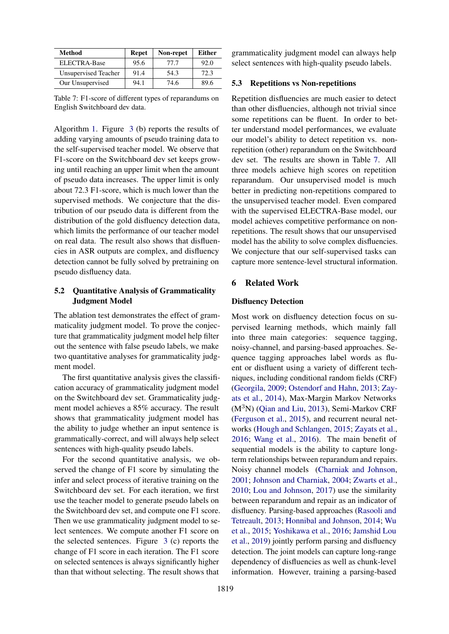<span id="page-6-0"></span>

| Method               | <b>Repet</b> | Non-repet | <b>Either</b> |
|----------------------|--------------|-----------|---------------|
| <b>ELECTRA-Base</b>  | 95.6         | 77.7      | 92.0          |
| Unsupervised Teacher | 91.4         | 54.3      | 72.3          |
| Our Unsupervised     | 94.1         | 74.6      | 89.6          |

Table 7: F1-score of different types of reparandums on English Switchboard dev data.

Algorithm [1.](#page-1-2) Figure [3](#page-5-1) (b) reports the results of adding varying amounts of pseudo training data to the self-supervised teacher model. We observe that F1-score on the Switchboard dev set keeps growing until reaching an upper limit when the amount of pseudo data increases. The upper limit is only about 72.3 F1-score, which is much lower than the supervised methods. We conjecture that the distribution of our pseudo data is different from the distribution of the gold disfluency detection data, which limits the performance of our teacher model on real data. The result also shows that disfluencies in ASR outputs are complex, and disfluency detection cannot be fully solved by pretraining on pseudo disfluency data.

### 5.2 Quantitative Analysis of Grammaticality Judgment Model

The ablation test demonstrates the effect of grammaticality judgment model. To prove the conjecture that grammaticality judgment model help filter out the sentence with false pseudo labels, we make two quantitative analyses for grammaticality judgment model.

The first quantitative analysis gives the classification accuracy of grammaticality judgment model on the Switchboard dev set. Grammaticality judgment model achieves a 85% accuracy. The result shows that grammaticality judgment model has the ability to judge whether an input sentence is grammatically-correct, and will always help select sentences with high-quality pseudo labels.

For the second quantitative analysis, we observed the change of F1 score by simulating the infer and select process of iterative training on the Switchboard dev set. For each iteration, we first use the teacher model to generate pseudo labels on the Switchboard dev set, and compute one F1 score. Then we use grammaticality judgment model to select sentences. We compute another F1 score on the selected sentences. Figure [3](#page-5-1) (c) reports the change of F1 score in each iteration. The F1 score on selected sentences is always significantly higher than that without selecting. The result shows that

grammaticality judgment model can always help select sentences with high-quality pseudo labels.

#### 5.3 Repetitions vs Non-repetitions

Repetition disfluencies are much easier to detect than other disfluencies, although not trivial since some repetitions can be fluent. In order to better understand model performances, we evaluate our model's ability to detect repetition vs. nonrepetition (other) reparandum on the Switchboard dev set. The results are shown in Table [7.](#page-6-0) All three models achieve high scores on repetition reparandum. Our unsupervised model is much better in predicting non-repetitions compared to the unsupervised teacher model. Even compared with the supervised ELECTRA-Base model, our model achieves competitive performance on nonrepetitions. The result shows that our unsupervised model has the ability to solve complex disfluencies. We conjecture that our self-supervised tasks can capture more sentence-level structural information.

# 6 Related Work

#### Disfluency Detection

Most work on disfluency detection focus on supervised learning methods, which mainly fall into three main categories: sequence tagging, noisy-channel, and parsing-based approaches. Sequence tagging approaches label words as fluent or disfluent using a variety of different techniques, including conditional random fields (CRF) [\(Georgila,](#page-8-11) [2009;](#page-8-11) [Ostendorf and Hahn,](#page-9-12) [2013;](#page-9-12) [Zay](#page-9-10)[ats et al.,](#page-9-10) [2014\)](#page-9-10), Max-Margin Markov Networks  $(M<sup>3</sup>N)$  [\(Qian and Liu,](#page-9-13) [2013\)](#page-9-13), Semi-Markov CRF [\(Ferguson et al.,](#page-8-8) [2015\)](#page-8-8), and recurrent neural networks [\(Hough and Schlangen,](#page-8-12) [2015;](#page-8-12) [Zayats et al.,](#page-9-0) [2016;](#page-9-0) [Wang et al.,](#page-9-1) [2016\)](#page-9-1). The main benefit of sequential models is the ability to capture longterm relationships between reparandum and repairs. Noisy channel models [\(Charniak and Johnson,](#page-8-4) [2001;](#page-8-4) [Johnson and Charniak,](#page-8-13) [2004;](#page-8-13) [Zwarts et al.,](#page-9-14) [2010;](#page-9-14) [Lou and Johnson,](#page-8-0) [2017\)](#page-8-0) use the similarity between reparandum and repair as an indicator of disfluency. Parsing-based approaches [\(Rasooli and](#page-9-15) [Tetreault,](#page-9-15) [2013;](#page-9-15) [Honnibal and Johnson,](#page-8-5) [2014;](#page-8-5) [Wu](#page-9-2) [et al.,](#page-9-2) [2015;](#page-9-2) [Yoshikawa et al.,](#page-9-16) [2016;](#page-9-16) [Jamshid Lou](#page-8-14) [et al.,](#page-8-14) [2019\)](#page-8-14) jointly perform parsing and disfluency detection. The joint models can capture long-range dependency of disfluencies as well as chunk-level information. However, training a parsing-based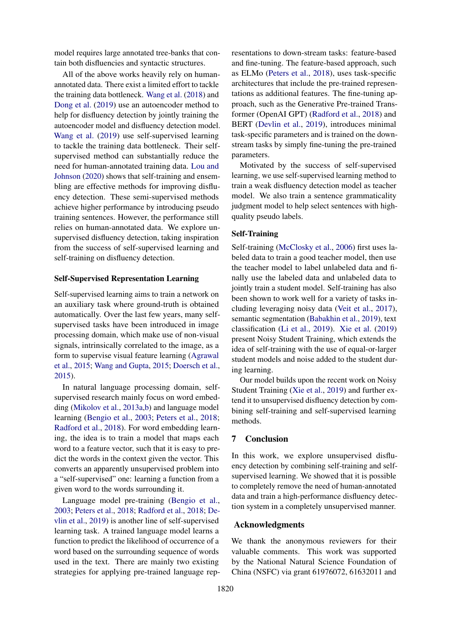model requires large annotated tree-banks that contain both disfluencies and syntactic structures.

All of the above works heavily rely on humanannotated data. There exist a limited effort to tackle the training data bottleneck. [Wang et al.](#page-9-8) [\(2018\)](#page-9-8) and [Dong et al.](#page-8-15) [\(2019\)](#page-8-15) use an autoencoder method to help for disfluency detection by jointly training the autoencoder model and disfluency detection model. [Wang et al.](#page-9-7) [\(2019\)](#page-9-7) use self-supervised learning to tackle the training data bottleneck. Their selfsupervised method can substantially reduce the need for human-annotated training data. [Lou and](#page-8-9) [Johnson](#page-8-9) [\(2020\)](#page-8-9) shows that self-training and ensembling are effective methods for improving disfluency detection. These semi-supervised methods achieve higher performance by introducing pseudo training sentences. However, the performance still relies on human-annotated data. We explore unsupervised disfluency detection, taking inspiration from the success of self-supervised learning and self-training on disfluency detection.

#### Self-Supervised Representation Learning

Self-supervised learning aims to train a network on an auxiliary task where ground-truth is obtained automatically. Over the last few years, many selfsupervised tasks have been introduced in image processing domain, which make use of non-visual signals, intrinsically correlated to the image, as a form to supervise visual feature learning [\(Agrawal](#page-8-16) [et al.,](#page-8-16) [2015;](#page-8-16) [Wang and Gupta,](#page-9-17) [2015;](#page-9-17) [Doersch et al.,](#page-8-17) [2015\)](#page-8-17).

In natural language processing domain, selfsupervised research mainly focus on word embedding [\(Mikolov et al.,](#page-9-18) [2013a](#page-9-18)[,b\)](#page-9-19) and language model learning [\(Bengio et al.,](#page-8-18) [2003;](#page-8-18) [Peters et al.,](#page-9-11) [2018;](#page-9-11) [Radford et al.,](#page-9-20) [2018\)](#page-9-20). For word embedding learning, the idea is to train a model that maps each word to a feature vector, such that it is easy to predict the words in the context given the vector. This converts an apparently unsupervised problem into a "self-supervised" one: learning a function from a given word to the words surrounding it.

Language model pre-training [\(Bengio et al.,](#page-8-18) [2003;](#page-8-18) [Peters et al.,](#page-9-11) [2018;](#page-9-11) [Radford et al.,](#page-9-20) [2018;](#page-9-20) [De](#page-8-19)[vlin et al.,](#page-8-19) [2019\)](#page-8-19) is another line of self-supervised learning task. A trained language model learns a function to predict the likelihood of occurrence of a word based on the surrounding sequence of words used in the text. There are mainly two existing strategies for applying pre-trained language representations to down-stream tasks: feature-based and fine-tuning. The feature-based approach, such as ELMo [\(Peters et al.,](#page-9-11) [2018\)](#page-9-11), uses task-specific architectures that include the pre-trained representations as additional features. The fine-tuning approach, such as the Generative Pre-trained Transformer (OpenAI GPT) [\(Radford et al.,](#page-9-20) [2018\)](#page-9-20) and BERT [\(Devlin et al.,](#page-8-19) [2019\)](#page-8-19), introduces minimal task-specific parameters and is trained on the downstream tasks by simply fine-tuning the pre-trained parameters.

Motivated by the success of self-supervised learning, we use self-supervised learning method to train a weak disfluency detection model as teacher model. We also train a sentence grammaticality judgment model to help select sentences with highquality pseudo labels.

### Self-Training

Self-training [\(McClosky et al.,](#page-9-21) [2006\)](#page-9-21) first uses labeled data to train a good teacher model, then use the teacher model to label unlabeled data and finally use the labeled data and unlabeled data to jointly train a student model. Self-training has also been shown to work well for a variety of tasks including leveraging noisy data [\(Veit et al.,](#page-9-22) [2017\)](#page-9-22), semantic segmentation [\(Babakhin et al.,](#page-8-20) [2019\)](#page-8-20), text classification [\(Li et al.,](#page-8-21) [2019\)](#page-8-21). [Xie et al.](#page-9-9) [\(2019\)](#page-9-9) present Noisy Student Training, which extends the idea of self-training with the use of equal-or-larger student models and noise added to the student during learning.

Our model builds upon the recent work on Noisy Student Training [\(Xie et al.,](#page-9-9) [2019\)](#page-9-9) and further extend it to unsupervised disfluency detection by combining self-training and self-supervised learning methods.

#### 7 Conclusion

In this work, we explore unsupervised disfluency detection by combining self-training and selfsupervised learning. We showed that it is possible to completely remove the need of human-annotated data and train a high-performance disfluency detection system in a completely unsupervised manner.

### Acknowledgments

We thank the anonymous reviewers for their valuable comments. This work was supported by the National Natural Science Foundation of China (NSFC) via grant 61976072, 61632011 and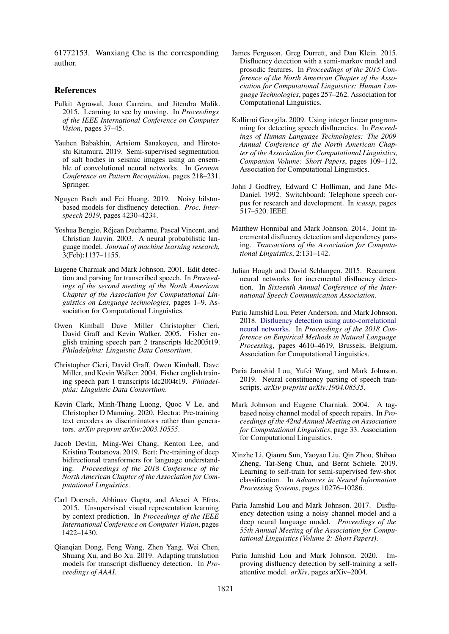61772153. Wanxiang Che is the corresponding author.

#### References

- <span id="page-8-16"></span>Pulkit Agrawal, Joao Carreira, and Jitendra Malik. 2015. Learning to see by moving. In *Proceedings of the IEEE International Conference on Computer Vision*, pages 37–45.
- <span id="page-8-20"></span>Yauhen Babakhin, Artsiom Sanakoyeu, and Hirotoshi Kitamura. 2019. Semi-supervised segmentation of salt bodies in seismic images using an ensemble of convolutional neural networks. In *German Conference on Pattern Recognition*, pages 218–231. Springer.
- <span id="page-8-10"></span>Nguyen Bach and Fei Huang. 2019. Noisy bilstmbased models for disfluency detection. *Proc. Interspeech 2019*, pages 4230–4234.
- <span id="page-8-18"></span>Yoshua Bengio, Rejean Ducharme, Pascal Vincent, and ´ Christian Jauvin. 2003. A neural probabilistic language model. *Journal of machine learning research*, 3(Feb):1137–1155.
- <span id="page-8-4"></span>Eugene Charniak and Mark Johnson. 2001. Edit detection and parsing for transcribed speech. In *Proceedings of the second meeting of the North American Chapter of the Association for Computational Linguistics on Language technologies*, pages 1–9. Association for Computational Linguistics.
- <span id="page-8-7"></span>Owen Kimball Dave Miller Christopher Cieri, David Graff and Kevin Walker. 2005. Fisher english training speech part 2 transcripts ldc2005t19. *Philadelphia: Linguistic Data Consortium*.
- <span id="page-8-6"></span>Christopher Cieri, David Graff, Owen Kimball, Dave Miller, and Kevin Walker. 2004. Fisher english training speech part 1 transcripts ldc2004t19. *Philadelphia: Linguistic Data Consortium*.
- <span id="page-8-2"></span>Kevin Clark, Minh-Thang Luong, Quoc V Le, and Christopher D Manning. 2020. Electra: Pre-training text encoders as discriminators rather than generators. *arXiv preprint arXiv:2003.10555*.
- <span id="page-8-19"></span>Jacob Devlin, Ming-Wei Chang, Kenton Lee, and Kristina Toutanova. 2019. Bert: Pre-training of deep bidirectional transformers for language understanding. *Proceedings of the 2018 Conference of the North American Chapter of the Association for Computational Linguistics*.
- <span id="page-8-17"></span>Carl Doersch, Abhinav Gupta, and Alexei A Efros. 2015. Unsupervised visual representation learning by context prediction. In *Proceedings of the IEEE International Conference on Computer Vision*, pages 1422–1430.
- <span id="page-8-15"></span>Qianqian Dong, Feng Wang, Zhen Yang, Wei Chen, Shuang Xu, and Bo Xu. 2019. Adapting translation models for transcript disfluency detection. In *Proceedings of AAAI*.
- <span id="page-8-8"></span>James Ferguson, Greg Durrett, and Dan Klein. 2015. Disfluency detection with a semi-markov model and prosodic features. In *Proceedings of the 2015 Conference of the North American Chapter of the Association for Computational Linguistics: Human Language Technologies*, pages 257–262. Association for Computational Linguistics.
- <span id="page-8-11"></span>Kallirroi Georgila. 2009. Using integer linear programming for detecting speech disfluencies. In *Proceedings of Human Language Technologies: The 2009 Annual Conference of the North American Chapter of the Association for Computational Linguistics, Companion Volume: Short Papers*, pages 109–112. Association for Computational Linguistics.
- <span id="page-8-3"></span>John J Godfrey, Edward C Holliman, and Jane Mc-Daniel. 1992. Switchboard: Telephone speech corpus for research and development. In *icassp*, pages 517–520. IEEE.
- <span id="page-8-5"></span>Matthew Honnibal and Mark Johnson. 2014. Joint incremental disfluency detection and dependency parsing. *Transactions of the Association for Computational Linguistics*, 2:131–142.
- <span id="page-8-12"></span>Julian Hough and David Schlangen. 2015. Recurrent neural networks for incremental disfluency detection. In *Sixteenth Annual Conference of the International Speech Communication Association*.
- <span id="page-8-1"></span>Paria Jamshid Lou, Peter Anderson, and Mark Johnson. 2018. [Disfluency detection using auto-correlational](https://www.aclweb.org/anthology/D18-1490) [neural networks.](https://www.aclweb.org/anthology/D18-1490) In *Proceedings of the 2018 Conference on Empirical Methods in Natural Language Processing*, pages 4610–4619, Brussels, Belgium. Association for Computational Linguistics.
- <span id="page-8-14"></span>Paria Jamshid Lou, Yufei Wang, and Mark Johnson. 2019. Neural constituency parsing of speech transcripts. *arXiv preprint arXiv:1904.08535*.
- <span id="page-8-13"></span>Mark Johnson and Eugene Charniak. 2004. A tagbased noisy channel model of speech repairs. In *Proceedings of the 42nd Annual Meeting on Association for Computational Linguistics*, page 33. Association for Computational Linguistics.
- <span id="page-8-21"></span>Xinzhe Li, Qianru Sun, Yaoyao Liu, Qin Zhou, Shibao Zheng, Tat-Seng Chua, and Bernt Schiele. 2019. Learning to self-train for semi-supervised few-shot classification. In *Advances in Neural Information Processing Systems*, pages 10276–10286.
- <span id="page-8-0"></span>Paria Jamshid Lou and Mark Johnson. 2017. Disfluency detection using a noisy channel model and a deep neural language model. *Proceedings of the 55th Annual Meeting of the Association for Computational Linguistics (Volume 2: Short Papers)*.
- <span id="page-8-9"></span>Paria Jamshid Lou and Mark Johnson. 2020. Improving disfluency detection by self-training a selfattentive model. *arXiv*, pages arXiv–2004.